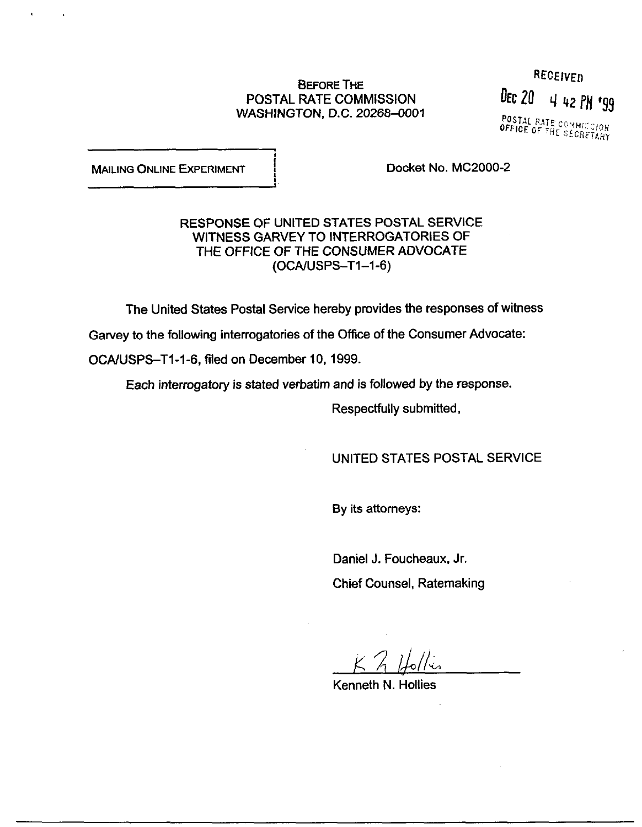# BEFORE THE<br>RATE COMMISSION BEC 20 4 42 F POSTAL RATE COMMISSION WASHINGTON, D.C. 20268-0001

i.

4 42 PM '99 POSTAL RATE COMMICCION<br>OFFICE OF THE SECRETION

MAILING ONLINE EXPERIMENT **EXPERT EXPERTENT**  Docket No. MC2000-2

RESPONSE OF UNITED STATES POSTAL SERVICE WITNESS GARVEY TO INTERROGATORIES OF THE OFFICE OF THE CONSUMER ADVOCATE (OCA/USPS-Tl-1-6)

The United States Postal Service hereby provides the responses of witness

Garvey to the following interrogatories of the Office of the Consumer Advocate:

OCAIUSPS-Tl-1-6, filed on December 10, 1999.

Each interrogatory is stated verbatim and is followed by the response.

Respectfully submitted,

UNITED STATES POSTAL SERVICE

By its attorneys:

Daniel J. Foucheaux, Jr. Chief Counsel, Ratemaking

 $K$   $2$  Holles

Kenneth N. Hollies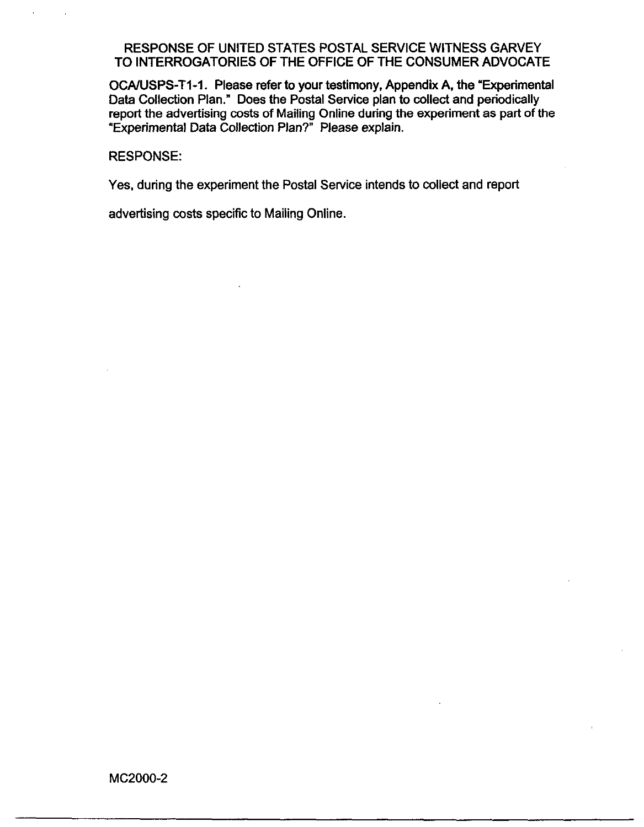OCA/USPS-T1-1. Please refer to your testimony, Appendix A, the "Experimental Data Collection Plan." Does the Postal Service plan to collect and periodically report the advertising costs of Mailing Online during the experiment as part of the "Experimental Data Collection Plan?" Please explain.

#### RESPONSE:

Yes, during the experiment the Postal Service intends to collect and report

advertising costs specific to Mailing Online.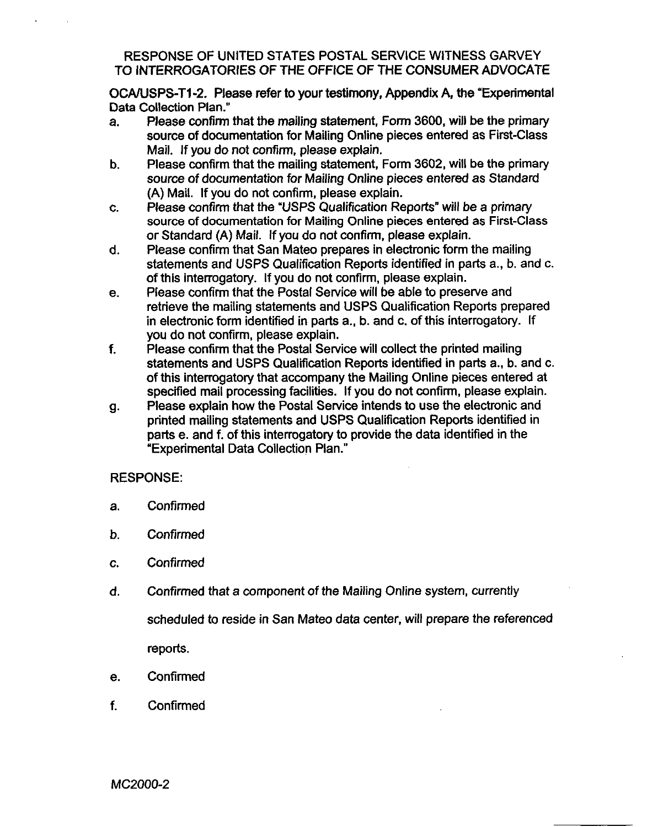OCA/USPS-T1-2. Please refer to your testimony, Appendix A, the "Experimental" Data Collection Plan."

- a. Please confirm that the mailing statement, Form 3600, will be the primary source of documentation for Mailing Online pieces entered as First-Class Mail. If you do not confirm, please explain.
- b. Please confirm that the mailing statement, Form 3602, will be the primary source of documentation for Mailing Online pieces entered as Standard (A) Mail. If you do not confirm, please explain.
- C. Please confirm that the "USPS Qualification Reports" will be a primary source of documentation for Mailing Online pieces entered as First-Class or Standard (A) Mail. If you do not confirm, please explain.
- d. Please confirm that San Mateo prepares in electronic form the mailing statements and USPS Qualification Reports identified in parts a., b. and c. of this interrogatory. If you do not confirm, please explain.
- e. Please confirm that the Postal Service will be able to preserve and retrieve the mailing statements and USPS Qualification Reports prepared in electronic form identified in parts a., b. and c. of this interrogatory. If you do not confirm, please explain.
- f. Please confirm that the Postal Service will collect the printed mailing statements and USPS Qualification Reports identified in parts a., b. and c. of this interrogatory that accompany the Mailing Online pieces entered at specified mail processing facilities. If you do not confirm, please explain.
- 9 Please explain how the Postal Service intends to use the electronic and printed mailing statements and USPS Qualification Reports identified in parts e. and f. of this interrogatory to provide the data identified in the 'Experimental Data Collection Plan."

# RESPONSE:

- a. Confirmed
- b. Confirmed
- C. Confirmed
- d. Confirmed that a component of the Mailing Online system, currently

scheduled to reside in San Mateo data center, will prepare the referenced reports.

- e. Confirmed
- f. Confirmed

MC2000-2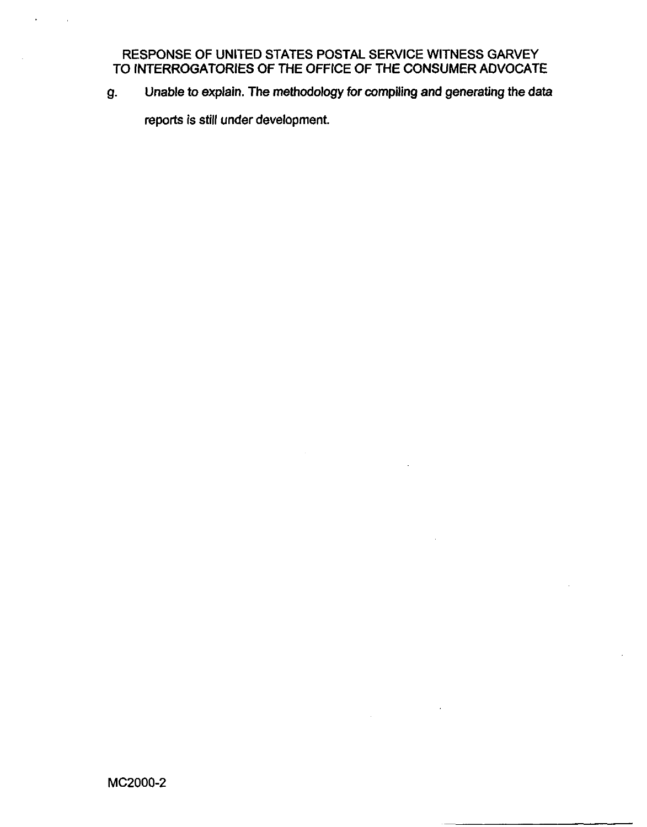9. Unable to explain. The methodology for compiling and generating the data

reports is still under development.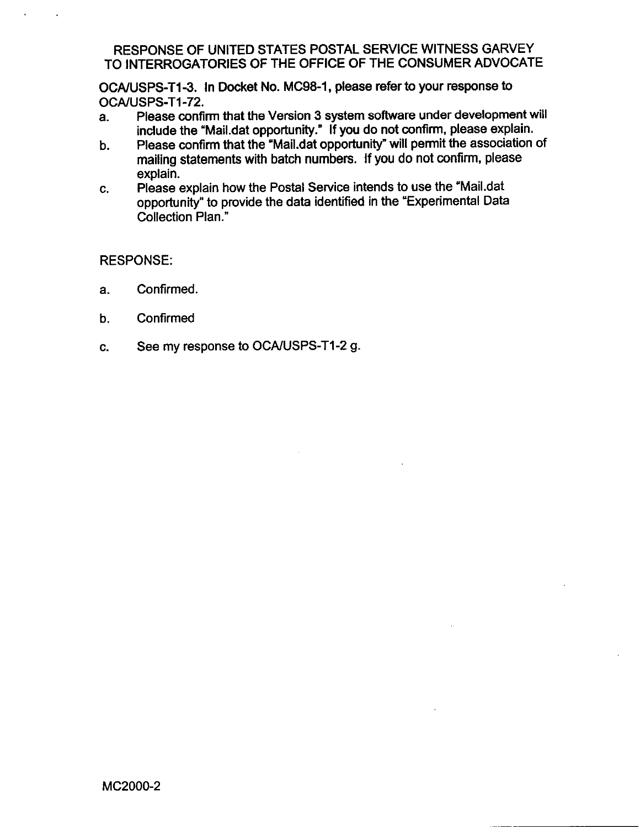OCAIUSPS-T1-3. In Docket No. MC98-1, please refer to your response to OCA/USPS-T1-72.

- a. Please confirm that the Version 3 system software under development will include the "Mail.dat opportunity." If you do not confirm, please explain.
- b. Please confirm that the "Mail.dat opportunity" will permit the association of mailing statements with batch numbers. If you do not confirm, please explain.
- C. Please explain how the Postal Service intends to use the 'Mail.dat opportunity" to provide the data identified in the "Experimental Data Collection Plan."

# RESPONSE:

- a. Confirmed.
- b. Confirmed
- C. See my response to OCAIUSPS-Tl-2 g.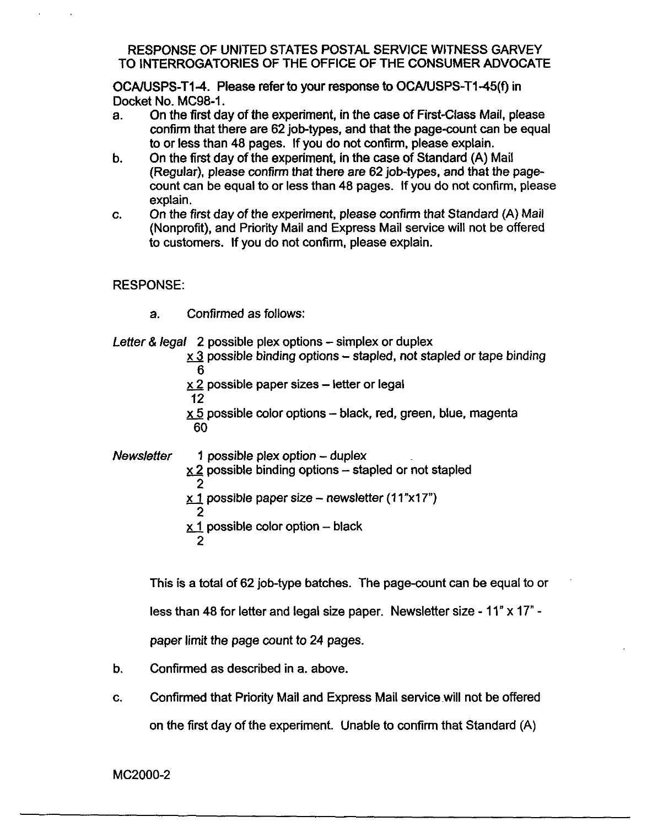OCA/USPS-T1-4. Please refer to your response to OCA/USPS-T1-45(f) in Docket No. MC98-1.

- a. On the first day of the experiment, in the case of First-Class Mail, please confirm that there are 62 job-types, and that the page-count can be equal to or less than 48 pages. If you do not confirm, please explain.
- b. On the first day of the experiment, in the case of Standard (A) Mail (Regular), please confirm that there are 82 job-types, and that the pagecount can be equal to or less than 48 pages. If you do not confirm, please explain.
- C. On the first day of the experiment, please confirm that Standard (A) Mail (Nonprofit), and Priority Mail and Express Mail service will not be offered to customers. If you do not confirm, please explain.

# RESPONSE:

a. Confirmed as follows:

Letter & legal 2 possible plex options – simplex or duplex

- $\times$  3 possible binding options stapled, not stapled or tape binding 6
- $x$  2 possible paper sizes  $-$  letter or legal
- 12

 $x 5$  possible color options - black, red, green, blue, magenta 60

 $N$ ews/etter 1 possible plex option – duplex  $\times$  2 possible binding options  $-$  stapled or not stapled 2  $x 1$  possible paper size - newsletter (11"x17") 2  $\times$  1 possible color option - black 2

This is a total of 62 job-type batches. The page-count can be equal to or

less than 48 for letter and legal size paper. Newsletter size - 11" x 17" -

paper limit the page count to 24 pages.

- b. Confirmed as described in a. above.
- C. Confirmed that Priority Mail and Express Mail servicewill not be offered on the first day of the experiment. Unable to confirm that Standard (A)

MC2000-2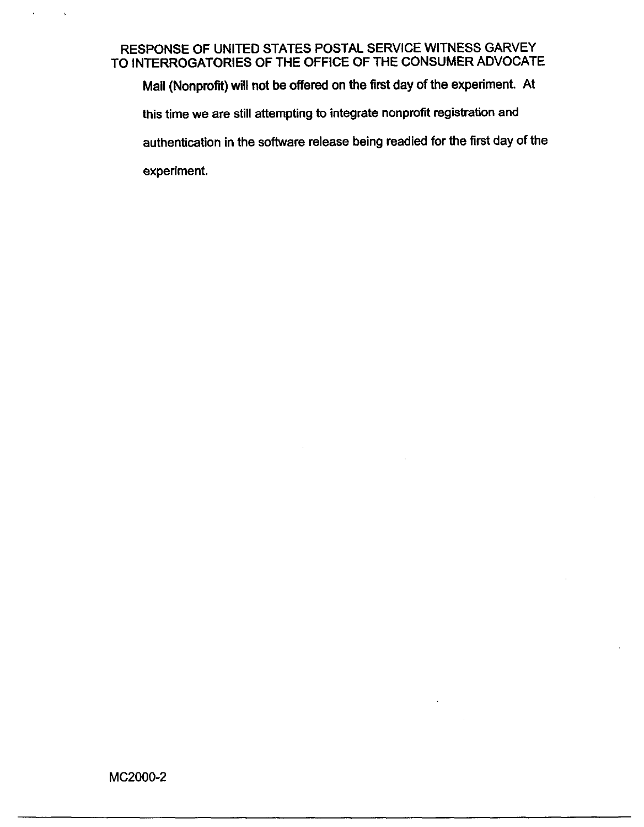Mail (Nonprofit) will not be offered on the first day of the experiment. At this time we are still attempting to integrate nonprofit registration and authentication in the software release being readied for the first day of the experiment.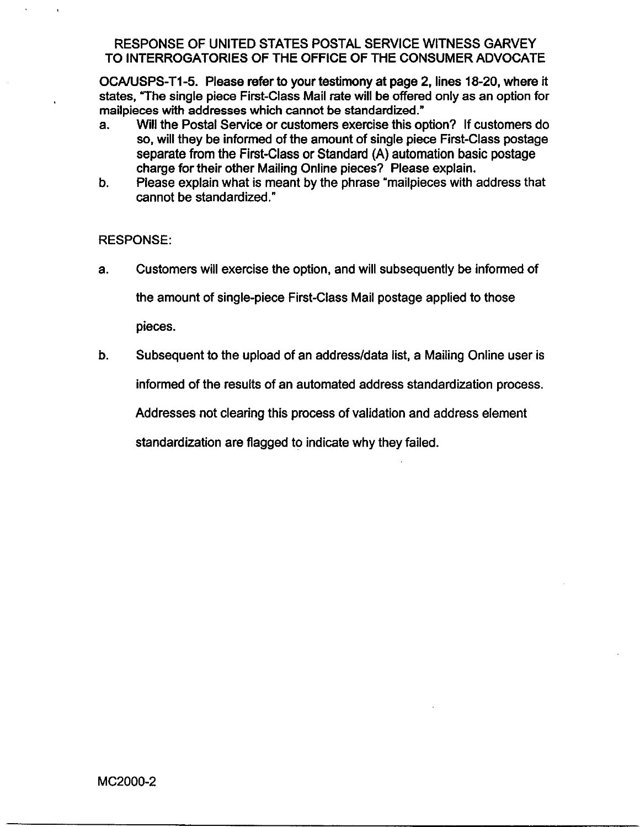OCA/USPS-T1-5. Please refer to your testimony at page 2, lines 18-20, where it states, The single piece First-Class Mail rate will be offered only as an option for mailpieces wlth addresses which cannot be standardized."

- a. Will the Postal Service or customers exercise this option? If customers do so, will they be informed of the amount of single piece First-Class postage separate from the First-Class or Standard (A) automation basic postage charge for their other Mailing Online pieces? Please explain.
- b. Please explain what is meant by the phrase 'mailpieces with address that cannot be standardized."

## RESPONSE:

a. Customers will exercise the option, and will subsequently be informed of

the amount of single-piece First-Class Mail postage applied to those

pieces.

b. Subsequent to the upload of an address/data list, a Mailing Online user is

informed of the results of an automated address standardization process.

Addresses not clearing this process of validation and address element

standardization are flagged to indicate why they failed.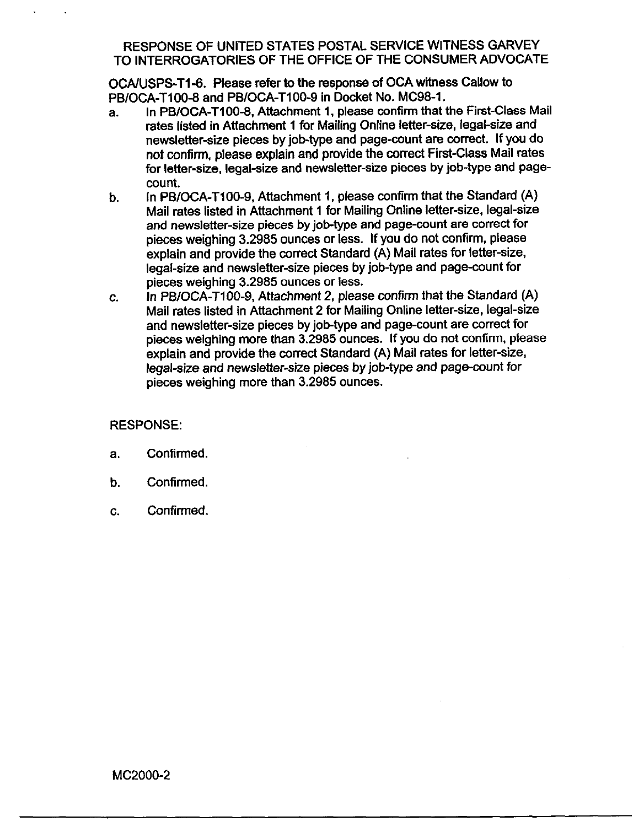OCA/USPS-T1-6. Please refer to the response of OCA witness Callow to PB/OCA-T100-8 and PB/OCA-T100-9 in Docket No. MC98-1.

- a. In PB/OCA-T100-8, Attachment 1, please confirm that the First-Class Mail rates listed in Attachment 1 for Mailing Online letter-size, legal-size and newsletter-size pieces by job-type and page-count are correct. If you do not confinn. please explain and provide the correct First-Class Mail rates for letter-size, legal-size and newsletter-size pieces by job-type and pagecount.
- b. In PBIOCA-TIOO-9, Attachment 1, please confirm that the Standard (A) Mail rates listed in Attachment 1 for Mailing Online letter-size, legal-size and newsletter-size pieces by job-type and page-count are correct for pieces weighing 3.2985 ounces or less. If you do not confirm, please explain and provide the correct Standard (A) Mail rates for letter-size, legal-size and newsletter-size pieces by job-type and page-count for pieces weighing 3.2985 ounces or less.
- C. In PB/OCA-TIOO-9, Attachment 2, please confirm that the Standard (A) Mail rates listed in Attachment 2 for Mailing Online letter-size, legal-size and newsletter-size pieces by job-type and page-count are correct for pieces weighing more than 3.2985 ounces. If you do not confirm, please explain and provide the correct Standard (A) Mail rates for letter-size, legal-size and newsletter-size pieces by job-type and page-count for pieces weighing more than 3.2985 ounces.

#### RESPONSE:

- a. Confirmed.
- b. Confirmed.
- C. Confirmed.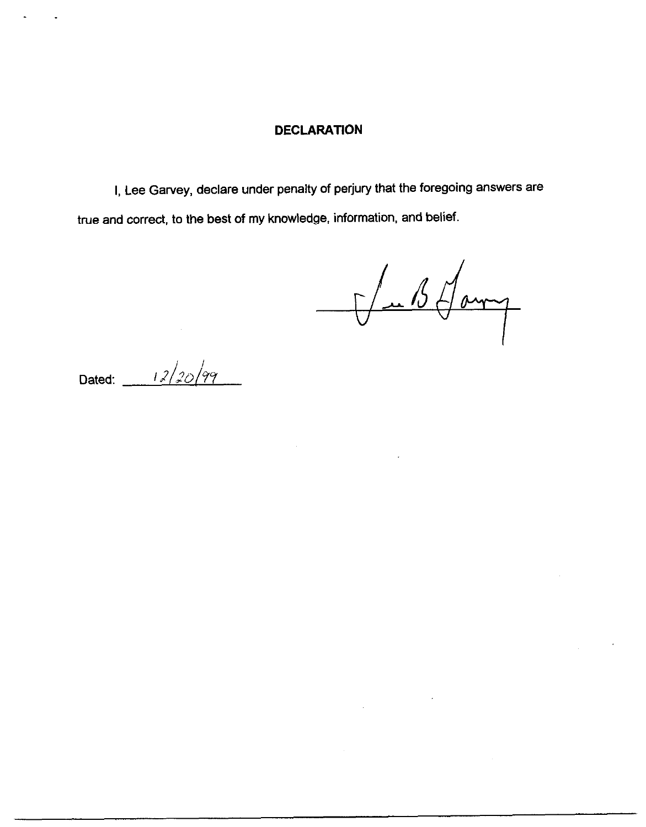#### **DECLARATION**

I, Lee Garvey, declare under penalty of perjury that the foregoing answers are true and correct, to the best of my knowledge, information, and belief.

Vab Sam

Dated:  $12/20/99$